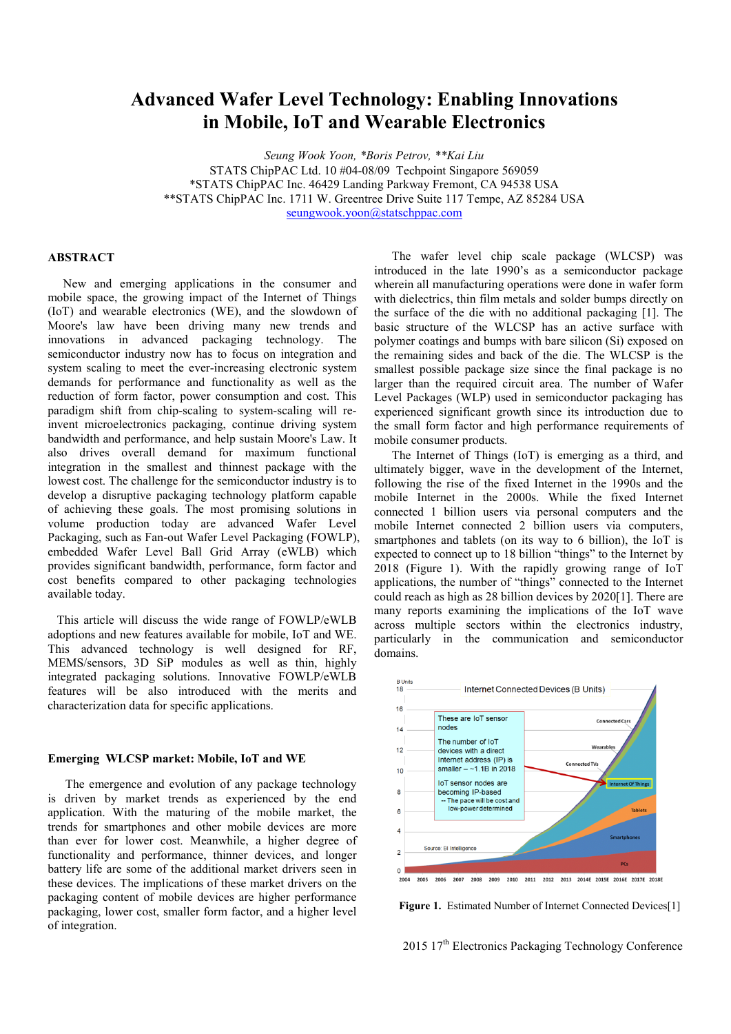# **Advanced Wafer Level Technology: Enabling Innovations in Mobile, IoT and Wearable Electronics**

*Seung Wook Yoon, \*Boris Petrov, \*\*Kai Liu*  STATS ChipPAC Ltd. 10 #04-08/09 Techpoint Singapore 569059 \*STATS ChipPAC Inc. 46429 Landing Parkway Fremont, CA 94538 USA \*\*STATS ChipPAC Inc. 1711 W. Greentree Drive Suite 117 Tempe, AZ 85284 USA seungwook.yoon@statschppac.com

## **ABSTRACT**

 New and emerging applications in the consumer and mobile space, the growing impact of the Internet of Things (IoT) and wearable electronics (WE), and the slowdown of Moore's law have been driving many new trends and innovations in advanced packaging technology. The semiconductor industry now has to focus on integration and system scaling to meet the ever-increasing electronic system demands for performance and functionality as well as the reduction of form factor, power consumption and cost. This paradigm shift from chip-scaling to system-scaling will reinvent microelectronics packaging, continue driving system bandwidth and performance, and help sustain Moore's Law. It also drives overall demand for maximum functional integration in the smallest and thinnest package with the lowest cost. The challenge for the semiconductor industry is to develop a disruptive packaging technology platform capable of achieving these goals. The most promising solutions in volume production today are advanced Wafer Level Packaging, such as Fan-out Wafer Level Packaging (FOWLP), embedded Wafer Level Ball Grid Array (eWLB) which provides significant bandwidth, performance, form factor and cost benefits compared to other packaging technologies available today.

 This article will discuss the wide range of FOWLP/eWLB adoptions and new features available for mobile, IoT and WE. This advanced technology is well designed for RF, MEMS/sensors, 3D SiP modules as well as thin, highly integrated packaging solutions. Innovative FOWLP/eWLB features will be also introduced with the merits and characterization data for specific applications.

# **Emerging WLCSP market: Mobile, IoT and WE**

The emergence and evolution of any package technology is driven by market trends as experienced by the end application. With the maturing of the mobile market, the trends for smartphones and other mobile devices are more than ever for lower cost. Meanwhile, a higher degree of functionality and performance, thinner devices, and longer battery life are some of the additional market drivers seen in these devices. The implications of these market drivers on the packaging content of mobile devices are higher performance packaging, lower cost, smaller form factor, and a higher level of integration.

The wafer level chip scale package (WLCSP) was introduced in the late 1990's as a semiconductor package wherein all manufacturing operations were done in wafer form with dielectrics, thin film metals and solder bumps directly on the surface of the die with no additional packaging [1]. The basic structure of the WLCSP has an active surface with polymer coatings and bumps with bare silicon (Si) exposed on the remaining sides and back of the die. The WLCSP is the smallest possible package size since the final package is no larger than the required circuit area. The number of Wafer Level Packages (WLP) used in semiconductor packaging has experienced significant growth since its introduction due to the small form factor and high performance requirements of mobile consumer products.

The Internet of Things (IoT) is emerging as a third, and ultimately bigger, wave in the development of the Internet, following the rise of the fixed Internet in the 1990s and the mobile Internet in the 2000s. While the fixed Internet connected 1 billion users via personal computers and the mobile Internet connected 2 billion users via computers, smartphones and tablets (on its way to 6 billion), the IoT is expected to connect up to 18 billion "things" to the Internet by 2018 (Figure 1). With the rapidly growing range of IoT applications, the number of "things" connected to the Internet could reach as high as 28 billion devices by 2020[1]. There are many reports examining the implications of the IoT wave across multiple sectors within the electronics industry, particularly in the communication and semiconductor domains.



Figure 1. Estimated Number of Internet Connected Devices<sup>[1]</sup>

2015 17<sup>th</sup> Electronics Packaging Technology Conference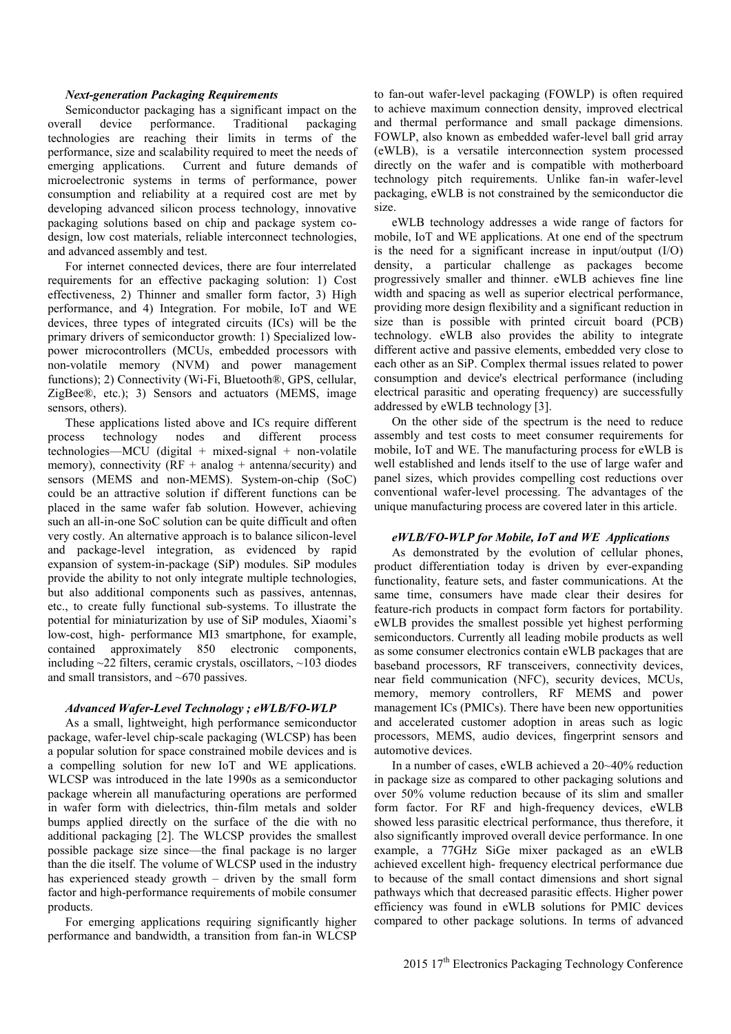# *Next-generation Packaging Requirements*

Semiconductor packaging has a significant impact on the overall device performance. Traditional packaging technologies are reaching their limits in terms of the performance, size and scalability required to meet the needs of emerging applications. Current and future demands of microelectronic systems in terms of performance, power consumption and reliability at a required cost are met by developing advanced silicon process technology, innovative packaging solutions based on chip and package system codesign, low cost materials, reliable interconnect technologies, and advanced assembly and test.

For internet connected devices, there are four interrelated requirements for an effective packaging solution: 1) Cost effectiveness, 2) Thinner and smaller form factor, 3) High performance, and 4) Integration. For mobile, IoT and WE devices, three types of integrated circuits (ICs) will be the primary drivers of semiconductor growth: 1) Specialized lowpower microcontrollers (MCUs, embedded processors with non-volatile memory (NVM) and power management functions); 2) Connectivity (Wi-Fi, Bluetooth®, GPS, cellular, ZigBee®, etc.); 3) Sensors and actuators (MEMS, image sensors, others).

These applications listed above and ICs require different process technology nodes and different process technologies—MCU (digital + mixed-signal + non-volatile memory), connectivity  $(RF + analog + antenna/security)$  and sensors (MEMS and non-MEMS). System-on-chip (SoC) could be an attractive solution if different functions can be placed in the same wafer fab solution. However, achieving such an all-in-one SoC solution can be quite difficult and often very costly. An alternative approach is to balance silicon-level and package-level integration, as evidenced by rapid expansion of system-in-package (SiP) modules. SiP modules provide the ability to not only integrate multiple technologies, but also additional components such as passives, antennas, etc., to create fully functional sub-systems. To illustrate the potential for miniaturization by use of SiP modules, Xiaomi's low-cost, high- performance MI3 smartphone, for example, contained approximately 850 electronic components, including ~22 filters, ceramic crystals, oscillators, ~103 diodes and small transistors, and ~670 passives.

## *Advanced Wafer-Level Technology ; eWLB/FO-WLP*

As a small, lightweight, high performance semiconductor package, wafer-level chip-scale packaging (WLCSP) has been a popular solution for space constrained mobile devices and is a compelling solution for new IoT and WE applications. WLCSP was introduced in the late 1990s as a semiconductor package wherein all manufacturing operations are performed in wafer form with dielectrics, thin-film metals and solder bumps applied directly on the surface of the die with no additional packaging [2]. The WLCSP provides the smallest possible package size since—the final package is no larger than the die itself. The volume of WLCSP used in the industry has experienced steady growth – driven by the small form factor and high-performance requirements of mobile consumer products.

For emerging applications requiring significantly higher performance and bandwidth, a transition from fan-in WLCSP

to fan-out wafer-level packaging (FOWLP) is often required to achieve maximum connection density, improved electrical and thermal performance and small package dimensions. FOWLP, also known as embedded wafer-level ball grid array (eWLB), is a versatile interconnection system processed directly on the wafer and is compatible with motherboard technology pitch requirements. Unlike fan-in wafer-level packaging, eWLB is not constrained by the semiconductor die size.

eWLB technology addresses a wide range of factors for mobile, IoT and WE applications. At one end of the spectrum is the need for a significant increase in input/output  $(I/O)$ density, a particular challenge as packages become progressively smaller and thinner. eWLB achieves fine line width and spacing as well as superior electrical performance, providing more design flexibility and a significant reduction in size than is possible with printed circuit board (PCB) technology. eWLB also provides the ability to integrate different active and passive elements, embedded very close to each other as an SiP. Complex thermal issues related to power consumption and device's electrical performance (including electrical parasitic and operating frequency) are successfully addressed by eWLB technology [3].

On the other side of the spectrum is the need to reduce assembly and test costs to meet consumer requirements for mobile, IoT and WE. The manufacturing process for eWLB is well established and lends itself to the use of large wafer and panel sizes, which provides compelling cost reductions over conventional wafer-level processing. The advantages of the unique manufacturing process are covered later in this article.

#### *eWLB/FO-WLP for Mobile, IoT and WE Applications*

As demonstrated by the evolution of cellular phones, product differentiation today is driven by ever-expanding functionality, feature sets, and faster communications. At the same time, consumers have made clear their desires for feature-rich products in compact form factors for portability. eWLB provides the smallest possible yet highest performing semiconductors. Currently all leading mobile products as well as some consumer electronics contain eWLB packages that are baseband processors, RF transceivers, connectivity devices, near field communication (NFC), security devices, MCUs, memory, memory controllers, RF MEMS and power management ICs (PMICs). There have been new opportunities and accelerated customer adoption in areas such as logic processors, MEMS, audio devices, fingerprint sensors and automotive devices.

In a number of cases, eWLB achieved a 20~40% reduction in package size as compared to other packaging solutions and over 50% volume reduction because of its slim and smaller form factor. For RF and high-frequency devices, eWLB showed less parasitic electrical performance, thus therefore, it also significantly improved overall device performance. In one example, a 77GHz SiGe mixer packaged as an eWLB achieved excellent high- frequency electrical performance due to because of the small contact dimensions and short signal pathways which that decreased parasitic effects. Higher power efficiency was found in eWLB solutions for PMIC devices compared to other package solutions. In terms of advanced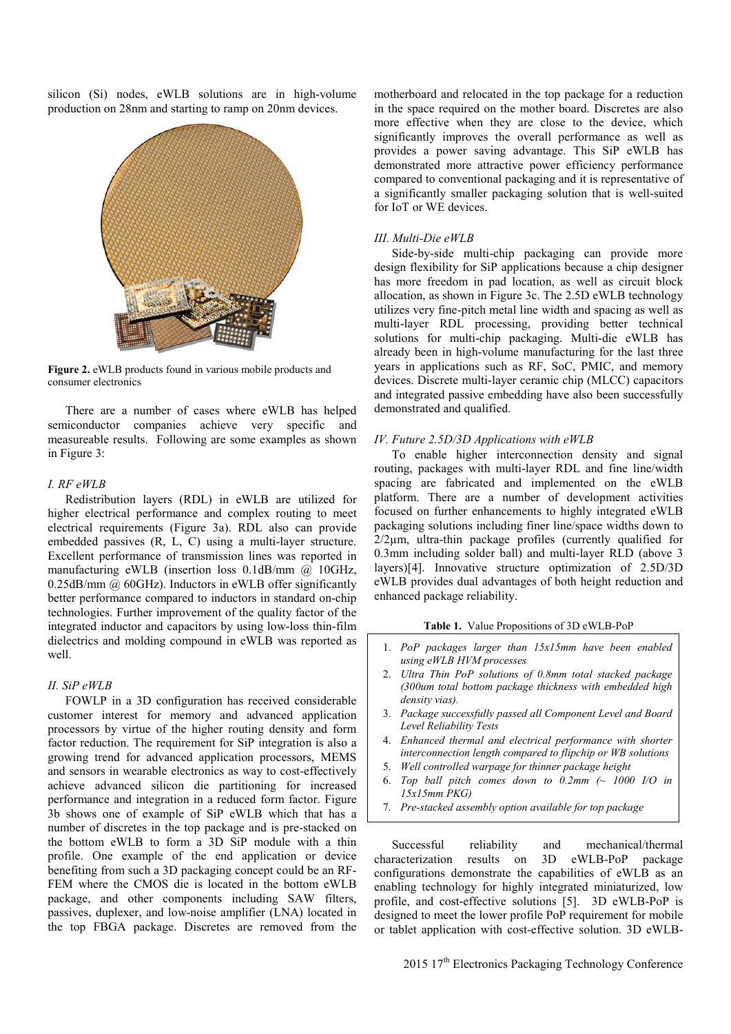silicon (Si) nodes, eWLB solutions are in high-volume production on 28nm and starting to ramp on 20nm devices.



**Figure 2.** eWLB products found in various mobile products and consumer electronics

There are a number of cases where eWLB has helped semiconductor companies achieve very specific and measureable results. Following are some examples as shown in Figure 3:

# *I. RF eWLB*

Redistribution layers (RDL) in eWLB are utilized for higher electrical performance and complex routing to meet electrical requirements (Figure 3a). RDL also can provide embedded passives (R, L, C) using a multi-layer structure. Excellent performance of transmission lines was reported in manufacturing eWLB (insertion loss 0.1dB/mm @ 10GHz, 0.25dB/mm  $@$  60GHz). Inductors in eWLB offer significantly better performance compared to inductors in standard on-chip technologies. Further improvement of the quality factor of the integrated inductor and capacitors by using low-loss thin-film dielectrics and molding compound in eWLB was reported as well.

#### *II. SiP eWLB*

FOWLP in a 3D configuration has received considerable customer interest for memory and advanced application processors by virtue of the higher routing density and form factor reduction. The requirement for SiP integration is also a growing trend for advanced application processors, MEMS and sensors in wearable electronics as way to cost-effectively achieve advanced silicon die partitioning for increased performance and integration in a reduced form factor. Figure 3b shows one of example of SiP eWLB which that has a number of discretes in the top package and is pre-stacked on the bottom eWLB to form a 3D SiP module with a thin profile. One example of the end application or device benefiting from such a 3D packaging concept could be an RF-FEM where the CMOS die is located in the bottom eWLB package, and other components including SAW filters, passives, duplexer, and low-noise amplifier (LNA) located in the top FBGA package. Discretes are removed from the

motherboard and relocated in the top package for a reduction in the space required on the mother board. Discretes are also more effective when they are close to the device, which significantly improves the overall performance as well as provides a power saving advantage. This SiP eWLB has demonstrated more attractive power efficiency performance compared to conventional packaging and it is representative of a significantly smaller packaging solution that is well-suited for IoT or WE devices.

# *III. Multi-Die eWLB*

Side-by-side multi-chip packaging can provide more design flexibility for SiP applications because a chip designer has more freedom in pad location, as well as circuit block allocation, as shown in Figure 3c. The 2.5D eWLB technology utilizes very fine-pitch metal line width and spacing as well as multi-layer RDL processing, providing better technical solutions for multi-chip packaging. Multi-die eWLB has already been in high-volume manufacturing for the last three years in applications such as RF, SoC, PMIC, and memory devices. Discrete multi-layer ceramic chip (MLCC) capacitors and integrated passive embedding have also been successfully demonstrated and qualified.

#### *IV. Future 2.5D/3D Applications with eWLB*

To enable higher interconnection density and signal routing, packages with multi-layer RDL and fine line/width spacing are fabricated and implemented on the eWLB platform. There are a number of development activities focused on further enhancements to highly integrated eWLB packaging solutions including finer line/space widths down to 2/2µm, ultra-thin package profiles (currently qualified for 0.3mm including solder ball) and multi-layer RLD (above 3 layers)[4]. Innovative structure optimization of 2.5D/3D eWLB provides dual advantages of both height reduction and enhanced package reliability.

# **Table 1.** Value Propositions of 3D eWLB-PoP

- 1. *PoP packages larger than 15x15mm have been enabled using eWLB HVM processes*
- 2. *Ultra Thin PoP solutions of 0.8mm total stacked package (300um total bottom package thickness with embedded high density vias).*
- 3. *Package successfully passed all Component Level and Board Level Reliability Tests*
- 4. *Enhanced thermal and electrical performance with shorter interconnection length compared to flipchip or WB solutions*
- 5. *Well controlled warpage for thinner package height*
- 6. *Top ball pitch comes down to 0.2mm (~ 1000 I/O in 15x15mm PKG)*
- 7. *Pre-stacked assembly option available for top package*

Successful reliability and mechanical/thermal characterization results on 3D eWLB-PoP package configurations demonstrate the capabilities of eWLB as an enabling technology for highly integrated miniaturized, low profile, and cost-effective solutions [5]. 3D eWLB-PoP is designed to meet the lower profile PoP requirement for mobile or tablet application with cost-effective solution. 3D eWLB-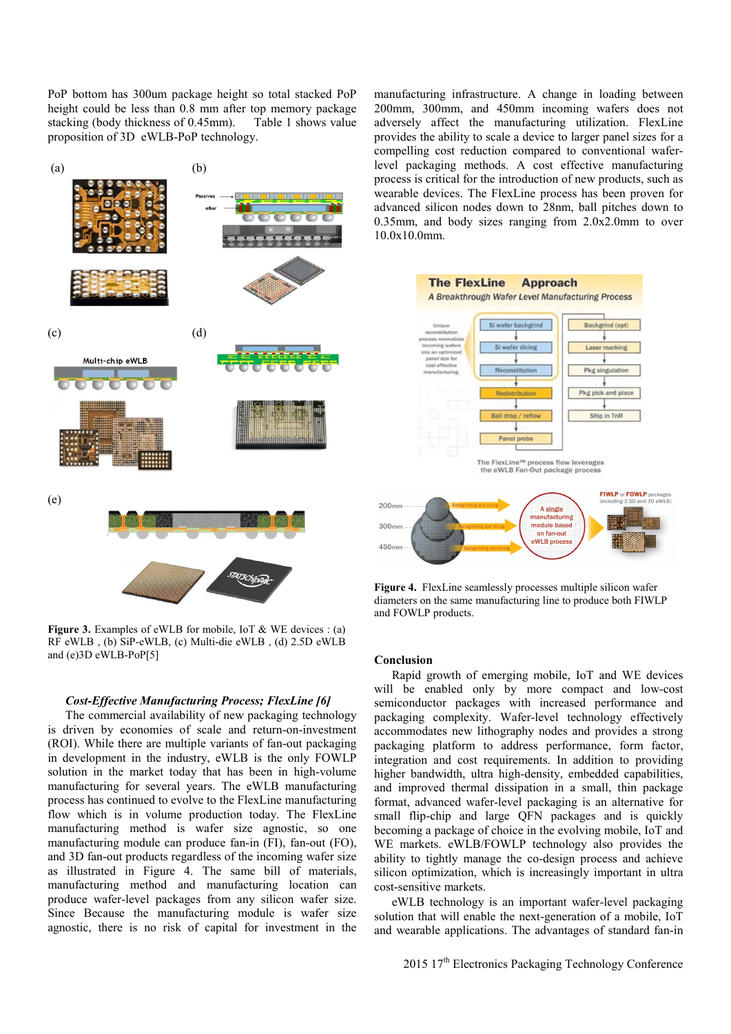PoP bottom has 300um package height so total stacked PoP height could be less than 0.8 mm after top memory package stacking (body thickness of 0.45mm). Table 1 shows value proposition of 3D eWLB-PoP technology.



**Figure 3.** Examples of eWLB for mobile, IoT & WE devices : (a) RF eWLB , (b) SiP-eWLB, (c) Multi-die eWLB , (d) 2.5D eWLB and (e)3D eWLB-PoP[5]

# *Cost-Effective Manufacturing Process; FlexLine [6]*

The commercial availability of new packaging technology is driven by economies of scale and return-on-investment (ROI). While there are multiple variants of fan-out packaging in development in the industry, eWLB is the only FOWLP solution in the market today that has been in high-volume manufacturing for several years. The eWLB manufacturing process has continued to evolve to the FlexLine manufacturing flow which is in volume production today. The FlexLine manufacturing method is wafer size agnostic, so one manufacturing module can produce fan-in (FI), fan-out (FO), and 3D fan-out products regardless of the incoming wafer size as illustrated in Figure 4. The same bill of materials, manufacturing method and manufacturing location can produce wafer-level packages from any silicon wafer size. Since Because the manufacturing module is wafer size agnostic, there is no risk of capital for investment in the manufacturing infrastructure. A change in loading between 200mm, 300mm, and 450mm incoming wafers does not adversely affect the manufacturing utilization. FlexLine provides the ability to scale a device to larger panel sizes for a compelling cost reduction compared to conventional waferlevel packaging methods. A cost effective manufacturing process is critical for the introduction of new products, such as wearable devices. The FlexLine process has been proven for advanced silicon nodes down to 28nm, ball pitches down to 0.35mm, and body sizes ranging from 2.0x2.0mm to over 10.0x10.0mm.



**Figure 4.** FlexLine seamlessly processes multiple silicon wafer diameters on the same manufacturing line to produce both FIWLP and FOWLP products.

#### **Conclusion**

Rapid growth of emerging mobile, IoT and WE devices will be enabled only by more compact and low-cost semiconductor packages with increased performance and packaging complexity. Wafer-level technology effectively accommodates new lithography nodes and provides a strong packaging platform to address performance, form factor, integration and cost requirements. In addition to providing higher bandwidth, ultra high-density, embedded capabilities, and improved thermal dissipation in a small, thin package format, advanced wafer-level packaging is an alternative for small flip-chip and large QFN packages and is quickly becoming a package of choice in the evolving mobile, IoT and WE markets. eWLB/FOWLP technology also provides the ability to tightly manage the co-design process and achieve silicon optimization, which is increasingly important in ultra cost-sensitive markets.

eWLB technology is an important wafer-level packaging solution that will enable the next-generation of a mobile, IoT and wearable applications. The advantages of standard fan-in